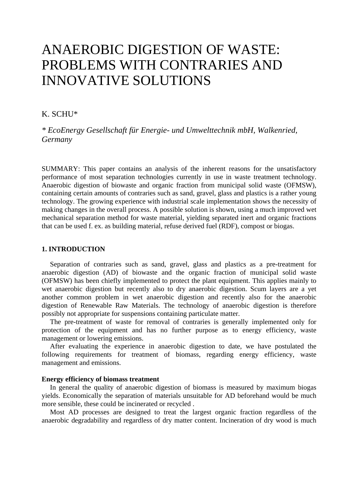# ANAEROBIC DIGESTION OF WASTE: PROBLEMS WITH CONTRARIES AND INNOVATIVE SOLUTIONS

## K. SCHU\*

*\* EcoEnergy Gesellschaft für Energie- und Umwelttechnik mbH, Walkenried, Germany* 

SUMMARY: This paper contains an analysis of the inherent reasons for the unsatisfactory performance of most separation technologies currently in use in waste treatment technology. Anaerobic digestion of biowaste and organic fraction from municipal solid waste (OFMSW), containing certain amounts of contraries such as sand, gravel, glass and plastics is a rather young technology. The growing experience with industrial scale implementation shows the necessity of making changes in the overall process. A possible solution is shown, using a much improved wet mechanical separation method for waste material, yielding separated inert and organic fractions that can be used f. ex. as building material, refuse derived fuel (RDF), compost or biogas.

## **1. INTRODUCTION**

Separation of contraries such as sand, gravel, glass and plastics as a pre-treatment for anaerobic digestion (AD) of biowaste and the organic fraction of municipal solid waste (OFMSW) has been chiefly implemented to protect the plant equipment. This applies mainly to wet anaerobic digestion but recently also to dry anaerobic digestion. Scum layers are a yet another common problem in wet anaerobic digestion and recently also for the anaerobic digestion of Renewable Raw Materials. The technology of anaerobic digestion is therefore possibly not appropriate for suspensions containing particulate matter.

The pre-treatment of waste for removal of contraries is generally implemented only for protection of the equipment and has no further purpose as to energy efficiency, waste management or lowering emissions.

After evaluating the experience in anaerobic digestion to date, we have postulated the following requirements for treatment of biomass, regarding energy efficiency, waste management and emissions.

#### **Energy efficiency of biomass treatment**

In general the quality of anaerobic digestion of biomass is measured by maximum biogas yields. Economically the separation of materials unsuitable for AD beforehand would be much more sensible, these could be incinerated or recycled .

Most AD processes are designed to treat the largest organic fraction regardless of the anaerobic degradability and regardless of dry matter content. Incineration of dry wood is much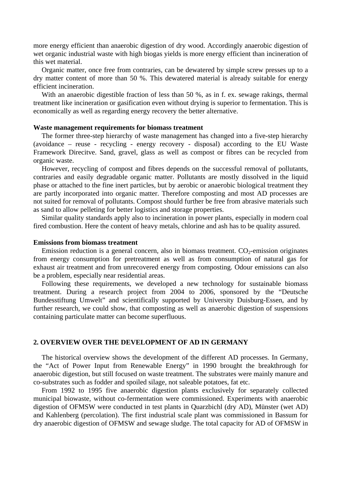more energy efficient than anaerobic digestion of dry wood. Accordingly anaerobic digestion of wet organic industrial waste with high biogas yields is more energy efficient than incineration of this wet material.

Organic matter, once free from contraries, can be dewatered by simple screw presses up to a dry matter content of more than 50 %. This dewatered material is already suitable for energy efficient incineration.

With an anaerobic digestible fraction of less than 50 %, as in f. ex. sewage rakings, thermal treatment like incineration or gasification even without drying is superior to fermentation. This is economically as well as regarding energy recovery the better alternative.

## **Waste management requirements for biomass treatment**

The former three-step hierarchy of waste management has changed into a five-step hierarchy (avoidance – reuse - recycling - energy recovery - disposal) according to the EU Waste Framework Direcitve. Sand, gravel, glass as well as compost or fibres can be recycled from organic waste.

However, recycling of compost and fibres depends on the successful removal of pollutants, contraries and easily degradable organic matter. Pollutants are mostly dissolved in the liquid phase or attached to the fine inert particles, but by aerobic or anaerobic biological treatment they are partly incorporated into organic matter. Therefore composting and most AD processes are not suited for removal of pollutants. Compost should further be free from abrasive materials such as sand to allow pelleting for better logistics and storage properties.

Similar quality standards apply also to incineration in power plants, especially in modern coal fired combustion. Here the content of heavy metals, chlorine and ash has to be quality assured.

## **Emissions from biomass treatment**

Emission reduction is a general concern, also in biomass treatment.  $CO<sub>2</sub>$ -emission originates from energy consumption for pretreatment as well as from consumption of natural gas for exhaust air treatment and from unrecovered energy from composting. Odour emissions can also be a problem, especially near residential areas.

Following these requirements, we developed a new technology for sustainable biomass treatment. During a research project from 2004 to 2006, sponsored by the "Deutsche Bundesstiftung Umwelt" and scientifically supported by University Duisburg-Essen, and by further research, we could show, that composting as well as anaerobic digestion of suspensions containing particulate matter can become superfluous.

#### **2. OVERVIEW OVER THE DEVELOPMENT OF AD IN GERMANY**

The historical overview shows the development of the different AD processes. In Germany, the "Act of Power Input from Renewable Energy" in 1990 brought the breakthrough for anaerobic digestion, but still focused on waste treatment. The substrates were mainly manure and co-substrates such as fodder and spoiled silage, not saleable potatoes, fat etc.

From 1992 to 1995 five anaerobic digestion plants exclusively for separately collected municipal biowaste, without co-fermentation were commissioned. Experiments with anaerobic digestion of OFMSW were conducted in test plants in Quarzbichl (dry AD), Münster (wet AD) and Kahlenberg (percolation). The first industrial scale plant was commissioned in Bassum for dry anaerobic digestion of OFMSW and sewage sludge. The total capacity for AD of OFMSW in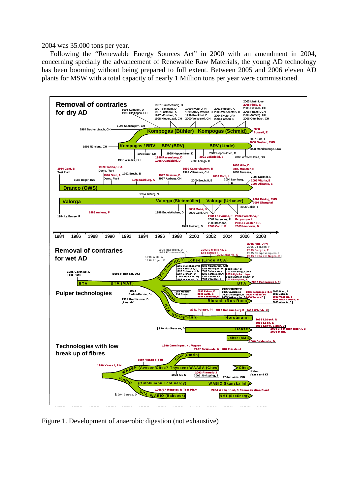2004 was 35.000 tons per year.

Following the "Renewable Energy Sources Act" in 2000 with an amendment in 2004, concerning specially the advancement of Renewable Raw Materials, the young AD technology has been booming without being prepared to full extent. Between 2005 and 2006 eleven AD plants for MSW with a total capacity of nearly 1 Million tons per year were commissioned.



Figure 1. Development of anaerobic digestion (not exhaustive)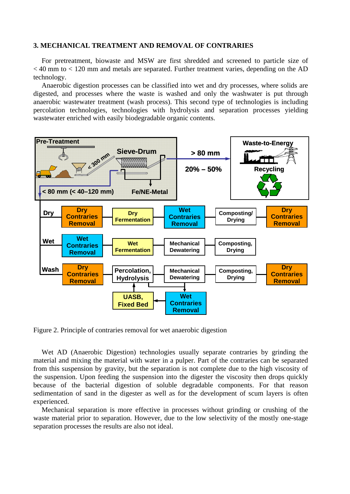#### **3. MECHANICAL TREATMENT AND REMOVAL OF CONTRARIES**

For pretreatment, biowaste and MSW are first shredded and screened to particle size of  $<$  40 mm to  $<$  120 mm and metals are separated. Further treatment varies, depending on the AD technology.

Anaerobic digestion processes can be classified into wet and dry processes, where solids are digested, and processes where the waste is washed and only the washwater is put through anaerobic wastewater treatment (wash process). This second type of technologies is including percolation technologies, technologies with hydrolysis and separation processes yielding wastewater enriched with easily biodegradable organic contents.



Figure 2. Principle of contraries removal for wet anaerobic digestion

Wet AD (Anaerobic Digestion) technologies usually separate contraries by grinding the material and mixing the material with water in a pulper. Part of the contraries can be separated from this suspension by gravity, but the separation is not complete due to the high viscosity of the suspension. Upon feeding the suspension into the digester the viscosity then drops quickly because of the bacterial digestion of soluble degradable components. For that reason sedimentation of sand in the digester as well as for the development of scum layers is often experienced.

Mechanical separation is more effective in processes without grinding or crushing of the waste material prior to separation. However, due to the low selectivity of the mostly one-stage separation processes the results are also not ideal.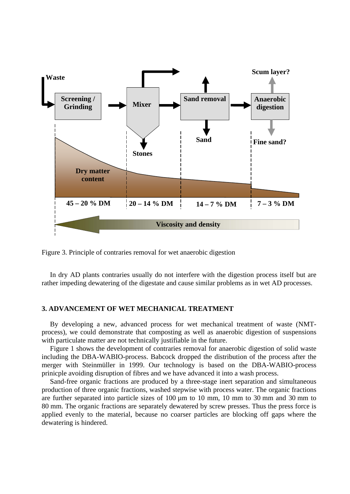

Figure 3. Principle of contraries removal for wet anaerobic digestion

In dry AD plants contraries usually do not interfere with the digestion process itself but are rather impeding dewatering of the digestate and cause similar problems as in wet AD processes.

### **3. ADVANCEMENT OF WET MECHANICAL TREATMENT**

By developing a new, advanced process for wet mechanical treatment of waste (NMTprocess), we could demonstrate that composting as well as anaerobic digestion of suspensions with particulate matter are not technically justifiable in the future.

Figure 1 shows the development of contraries removal for anaerobic digestion of solid waste including the DBA-WABIO-process. Babcock dropped the distribution of the process after the merger with Steinmüller in 1999. Our technology is based on the DBA-WABIO-process prinicple avoiding disruption of fibres and we have advanced it into a wash process.

Sand-free organic fractions are produced by a three-stage inert separation and simultaneous production of three organic fractions, washed stepwise with process water. The organic fractions are further separated into particle sizes of 100 µm to 10 mm, 10 mm to 30 mm and 30 mm to 80 mm. The organic fractions are separately dewatered by screw presses. Thus the press force is applied evenly to the material, because no coarser particles are blocking off gaps where the dewatering is hindered.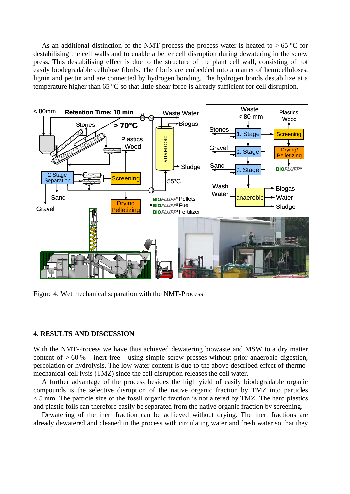As an additional distinction of the NMT-process the process water is heated to  $> 65$  °C for destabilising the cell walls and to enable a better cell disruption during dewatering in the screw press. This destabilising effect is due to the structure of the plant cell wall, consisting of not easily biodegradable cellulose fibrils. The fibrils are embedded into a matrix of hemicelluloses, lignin and pectin and are connected by hydrogen bonding. The hydrogen bonds destabilize at a temperature higher than 65 °C so that little shear force is already sufficient for cell disruption.



Figure 4. Wet mechanical separation with the NMT-Process

## **4. RESULTS AND DISCUSSION**

With the NMT-Process we have thus achieved dewatering biowaste and MSW to a dry matter content of  $> 60$  % - inert free - using simple screw presses without prior anaerobic digestion, percolation or hydrolysis. The low water content is due to the above described effect of thermomechanical-cell lysis (TMZ) since the cell disruption releases the cell water.

A further advantage of the process besides the high yield of easily biodegradable organic compounds is the selective disruption of the native organic fraction by TMZ into particles  $<$  5 mm. The particle size of the fossil organic fraction is not altered by TMZ. The hard plastics and plastic foils can therefore easily be separated from the native organic fraction by screening.

Dewatering of the inert fraction can be achieved without drying. The inert fractions are already dewatered and cleaned in the process with circulating water and fresh water so that they